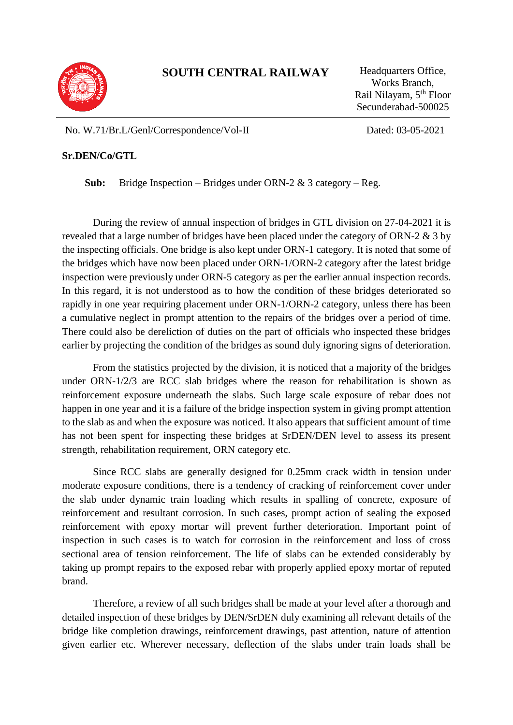

## **SOUTH CENTRAL RAILWAY** Headquarters Office,

Works Branch, Rail Nilayam, 5th Floor Secunderabad-500025

No. W.71/Br.L/Genl/Correspondence/Vol-II Dated: 03-05-2021

## **Sr.DEN/Co/GTL**

**Sub:** Bridge Inspection – Bridges under ORN-2 & 3 category – Reg.

During the review of annual inspection of bridges in GTL division on 27-04-2021 it is revealed that a large number of bridges have been placed under the category of ORN-2 & 3 by the inspecting officials. One bridge is also kept under ORN-1 category. It is noted that some of the bridges which have now been placed under ORN-1/ORN-2 category after the latest bridge inspection were previously under ORN-5 category as per the earlier annual inspection records. In this regard, it is not understood as to how the condition of these bridges deteriorated so rapidly in one year requiring placement under ORN-1/ORN-2 category, unless there has been a cumulative neglect in prompt attention to the repairs of the bridges over a period of time. There could also be dereliction of duties on the part of officials who inspected these bridges earlier by projecting the condition of the bridges as sound duly ignoring signs of deterioration.

From the statistics projected by the division, it is noticed that a majority of the bridges under ORN-1/2/3 are RCC slab bridges where the reason for rehabilitation is shown as reinforcement exposure underneath the slabs. Such large scale exposure of rebar does not happen in one year and it is a failure of the bridge inspection system in giving prompt attention to the slab as and when the exposure was noticed. It also appears that sufficient amount of time has not been spent for inspecting these bridges at SrDEN/DEN level to assess its present strength, rehabilitation requirement, ORN category etc.

Since RCC slabs are generally designed for 0.25mm crack width in tension under moderate exposure conditions, there is a tendency of cracking of reinforcement cover under the slab under dynamic train loading which results in spalling of concrete, exposure of reinforcement and resultant corrosion. In such cases, prompt action of sealing the exposed reinforcement with epoxy mortar will prevent further deterioration. Important point of inspection in such cases is to watch for corrosion in the reinforcement and loss of cross sectional area of tension reinforcement. The life of slabs can be extended considerably by taking up prompt repairs to the exposed rebar with properly applied epoxy mortar of reputed brand.

Therefore, a review of all such bridges shall be made at your level after a thorough and detailed inspection of these bridges by DEN/SrDEN duly examining all relevant details of the bridge like completion drawings, reinforcement drawings, past attention, nature of attention given earlier etc. Wherever necessary, deflection of the slabs under train loads shall be